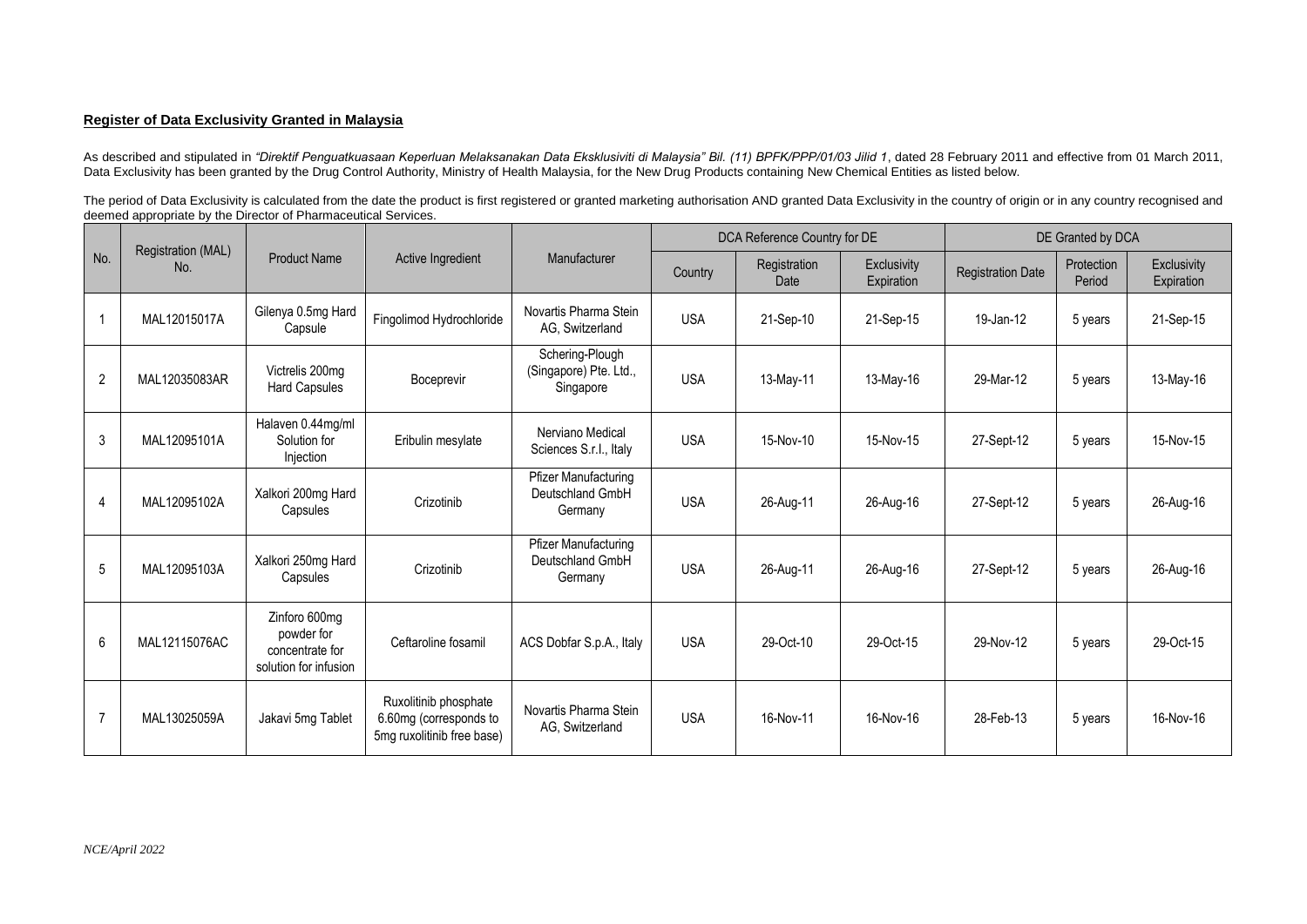## **Register of Data Exclusivity Granted in Malaysia**

As described and stipulated in *"Direktif Penguatkuasaan Keperluan Melaksanakan Data Eksklusiviti di Malaysia" Bil. (11) BPFK/PPP/01/03 Jilid 1*, dated 28 February 2011 and effective from 01 March 2011, Data Exclusivity has been granted by the Drug Control Authority, Ministry of Health Malaysia, for the New Drug Products containing New Chemical Entities as listed below.

The period of Data Exclusivity is calculated from the date the product is first registered or granted marketing authorisation AND granted Data Exclusivity in the country of origin or in any country recognised and deemed appropriate by the Director of Pharmaceutical Services.

|                | Registration (MAL) |                                                                         |                                                                               |                                                            |            | DCA Reference Country for DE |                           |                          | DE Granted by DCA    |                           |
|----------------|--------------------|-------------------------------------------------------------------------|-------------------------------------------------------------------------------|------------------------------------------------------------|------------|------------------------------|---------------------------|--------------------------|----------------------|---------------------------|
| No.            | No.                | <b>Product Name</b>                                                     | Active Ingredient                                                             | Manufacturer                                               | Country    | Registration<br>Date         | Exclusivity<br>Expiration | <b>Registration Date</b> | Protection<br>Period | Exclusivity<br>Expiration |
|                | MAL12015017A       | Gilenya 0.5mg Hard<br>Capsule                                           | Fingolimod Hydrochloride                                                      | Novartis Pharma Stein<br>AG, Switzerland                   | <b>USA</b> | 21-Sep-10                    | 21-Sep-15                 | 19-Jan-12                | 5 years              | 21-Sep-15                 |
| 2              | MAL12035083AR      | Victrelis 200mg<br>Hard Capsules                                        | Boceprevir                                                                    | Schering-Plough<br>(Singapore) Pte. Ltd.,<br>Singapore     | <b>USA</b> | 13-May-11                    | 13-May-16                 | 29-Mar-12                | 5 years              | 13-May-16                 |
| $\mathfrak{Z}$ | MAL12095101A       | Halaven 0.44mg/ml<br>Solution for<br>Injection                          | Eribulin mesylate                                                             | Nerviano Medical<br>Sciences S.r.l., Italy                 | <b>USA</b> | 15-Nov-10                    | 15-Nov-15                 | 27-Sept-12               | 5 years              | 15-Nov-15                 |
| $\overline{4}$ | MAL12095102A       | Xalkori 200mg Hard<br>Capsules                                          | Crizotinib                                                                    | <b>Pfizer Manufacturing</b><br>Deutschland GmbH<br>Germany | <b>USA</b> | 26-Aug-11                    | 26-Aug-16                 | 27-Sept-12               | 5 years              | 26-Aug-16                 |
| 5              | MAL12095103A       | Xalkori 250mg Hard<br>Capsules                                          | Crizotinib                                                                    | <b>Pfizer Manufacturing</b><br>Deutschland GmbH<br>Germany | <b>USA</b> | 26-Aug-11                    | 26-Aug-16                 | 27-Sept-12               | 5 years              | 26-Aug-16                 |
| 6              | MAL12115076AC      | Zinforo 600mg<br>powder for<br>concentrate for<br>solution for infusion | Ceftaroline fosamil                                                           | ACS Dobfar S.p.A., Italy                                   | <b>USA</b> | 29-Oct-10                    | 29-Oct-15                 | 29-Nov-12                | 5 years              | 29-Oct-15                 |
| $\overline{7}$ | MAL13025059A       | Jakavi 5mg Tablet                                                       | Ruxolitinib phosphate<br>6.60mg (corresponds to<br>5mg ruxolitinib free base) | Novartis Pharma Stein<br>AG, Switzerland                   | <b>USA</b> | 16-Nov-11                    | 16-Nov-16                 | 28-Feb-13                | 5 years              | 16-Nov-16                 |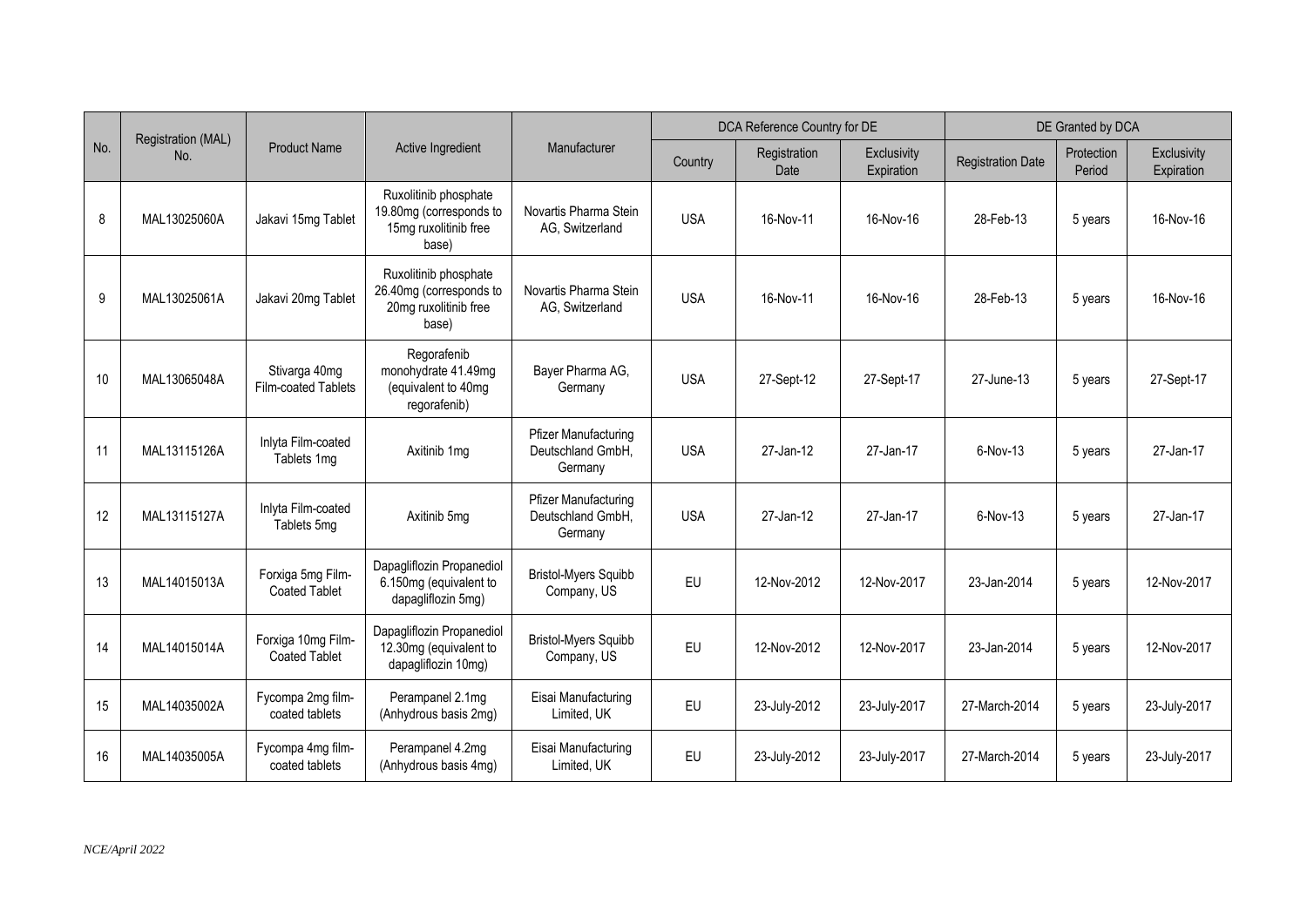|     | Registration (MAL) |                                            |                                                                                    |                                                             |            | DCA Reference Country for DE |                           |                          | DE Granted by DCA    |                           |
|-----|--------------------|--------------------------------------------|------------------------------------------------------------------------------------|-------------------------------------------------------------|------------|------------------------------|---------------------------|--------------------------|----------------------|---------------------------|
| No. | No.                | <b>Product Name</b>                        | Active Ingredient                                                                  | Manufacturer                                                | Country    | Registration<br>Date         | Exclusivity<br>Expiration | <b>Registration Date</b> | Protection<br>Period | Exclusivity<br>Expiration |
| 8   | MAL13025060A       | Jakavi 15mg Tablet                         | Ruxolitinib phosphate<br>19.80mg (corresponds to<br>15mg ruxolitinib free<br>base) | Novartis Pharma Stein<br>AG, Switzerland                    | <b>USA</b> | 16-Nov-11                    | 16-Nov-16                 | 28-Feb-13                | 5 years              | 16-Nov-16                 |
| 9   | MAL13025061A       | Jakavi 20mg Tablet                         | Ruxolitinib phosphate<br>26.40mg (corresponds to<br>20mg ruxolitinib free<br>base) | Novartis Pharma Stein<br>AG, Switzerland                    | <b>USA</b> | 16-Nov-11                    | 16-Nov-16                 | 28-Feb-13                | 5 years              | 16-Nov-16                 |
| 10  | MAL13065048A       | Stivarga 40mg<br>Film-coated Tablets       | Regorafenib<br>monohydrate 41.49mg<br>(equivalent to 40mg<br>regorafenib)          | Bayer Pharma AG,<br>Germany                                 | <b>USA</b> | 27-Sept-12                   | 27-Sept-17                | 27-June-13               | 5 years              | 27-Sept-17                |
| 11  | MAL13115126A       | Inlyta Film-coated<br>Tablets 1mg          | Axitinib 1mg                                                                       | <b>Pfizer Manufacturing</b><br>Deutschland GmbH,<br>Germany | <b>USA</b> | 27-Jan-12                    | 27-Jan-17                 | 6-Nov-13                 | 5 years              | 27-Jan-17                 |
| 12  | MAL13115127A       | Inlyta Film-coated<br>Tablets 5mg          | Axitinib 5mg                                                                       | <b>Pfizer Manufacturing</b><br>Deutschland GmbH,<br>Germany | <b>USA</b> | 27-Jan-12                    | 27-Jan-17                 | 6-Nov-13                 | 5 years              | 27-Jan-17                 |
| 13  | MAL14015013A       | Forxiga 5mg Film-<br><b>Coated Tablet</b>  | Dapagliflozin Propanediol<br>6.150mg (equivalent to<br>dapagliflozin 5mg)          | <b>Bristol-Myers Squibb</b><br>Company, US                  | EU         | 12-Nov-2012                  | 12-Nov-2017               | 23-Jan-2014              | 5 years              | 12-Nov-2017               |
| 14  | MAL14015014A       | Forxiga 10mg Film-<br><b>Coated Tablet</b> | Dapagliflozin Propanediol<br>12.30mg (equivalent to<br>dapagliflozin 10mg)         | <b>Bristol-Myers Squibb</b><br>Company, US                  | EU         | 12-Nov-2012                  | 12-Nov-2017               | 23-Jan-2014              | 5 years              | 12-Nov-2017               |
| 15  | MAL14035002A       | Fycompa 2mg film-<br>coated tablets        | Perampanel 2.1mg<br>(Anhydrous basis 2mg)                                          | Eisai Manufacturing<br>Limited, UK                          | EU         | 23-July-2012                 | 23-July-2017              | 27-March-2014            | 5 years              | 23-July-2017              |
| 16  | MAL14035005A       | Fycompa 4mg film-<br>coated tablets        | Perampanel 4.2mg<br>(Anhydrous basis 4mg)                                          | Eisai Manufacturing<br>Limited, UK                          | EU         | 23-July-2012                 | 23-July-2017              | 27-March-2014            | 5 years              | 23-July-2017              |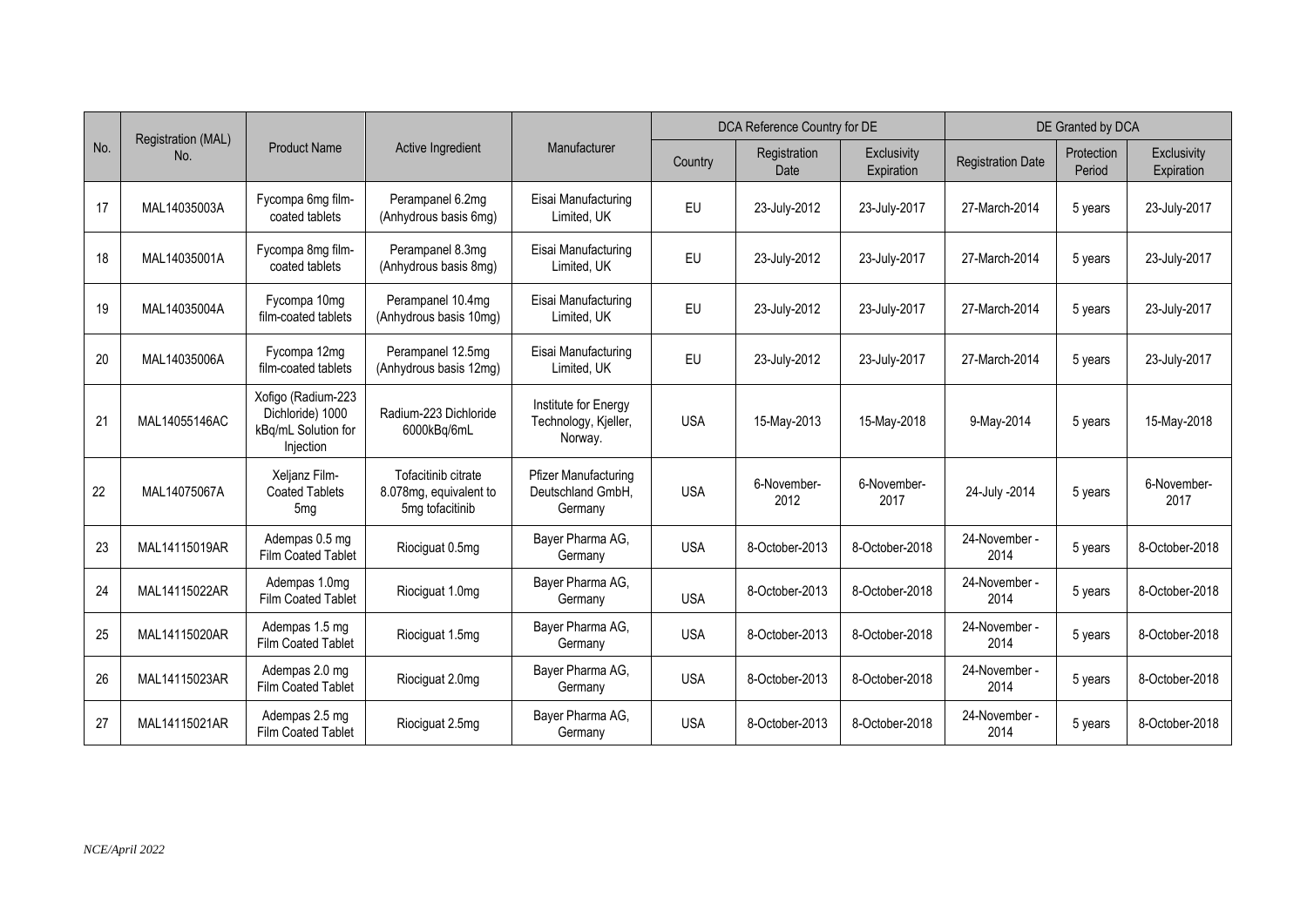|     | Registration (MAL) |                                                                            |                                                                  |                                                             |            | DCA Reference Country for DE |                           |                          | DE Granted by DCA    |                           |
|-----|--------------------|----------------------------------------------------------------------------|------------------------------------------------------------------|-------------------------------------------------------------|------------|------------------------------|---------------------------|--------------------------|----------------------|---------------------------|
| No. | No.                | <b>Product Name</b>                                                        | Active Ingredient                                                | Manufacturer                                                | Country    | Registration<br>Date         | Exclusivity<br>Expiration | <b>Registration Date</b> | Protection<br>Period | Exclusivity<br>Expiration |
| 17  | MAL14035003A       | Fycompa 6mg film-<br>coated tablets                                        | Perampanel 6.2mg<br>(Anhydrous basis 6mg)                        | Eisai Manufacturing<br>Limited, UK                          | <b>EU</b>  | 23-July-2012                 | 23-July-2017              | 27-March-2014            | 5 years              | 23-July-2017              |
| 18  | MAL14035001A       | Fycompa 8mg film-<br>coated tablets                                        | Perampanel 8.3mg<br>(Anhydrous basis 8mg)                        | Eisai Manufacturing<br>Limited, UK                          | <b>EU</b>  | 23-July-2012                 | 23-July-2017              | 27-March-2014            | 5 years              | 23-July-2017              |
| 19  | MAL14035004A       | Fycompa 10mg<br>film-coated tablets                                        | Perampanel 10.4mg<br>(Anhydrous basis 10mg)                      | Eisai Manufacturing<br>Limited, UK                          | <b>EU</b>  | 23-July-2012                 | 23-July-2017              | 27-March-2014            | 5 years              | 23-July-2017              |
| 20  | MAL14035006A       | Fycompa 12mg<br>film-coated tablets                                        | Perampanel 12.5mg<br>(Anhydrous basis 12mg)                      | Eisai Manufacturing<br>Limited, UK                          | <b>EU</b>  | 23-July-2012                 | 23-July-2017              | 27-March-2014            | 5 years              | 23-July-2017              |
| 21  | MAL14055146AC      | Xofigo (Radium-223<br>Dichloride) 1000<br>kBq/mL Solution for<br>Injection | Radium-223 Dichloride<br>6000kBq/6mL                             | Institute for Energy<br>Technology, Kjeller,<br>Norway.     | <b>USA</b> | 15-May-2013                  | 15-May-2018               | 9-May-2014               | 5 years              | 15-May-2018               |
| 22  | MAL14075067A       | Xeljanz Film-<br><b>Coated Tablets</b><br>5 <sub>mg</sub>                  | Tofacitinib citrate<br>8.078mg, equivalent to<br>5mg tofacitinib | <b>Pfizer Manufacturing</b><br>Deutschland GmbH,<br>Germany | <b>USA</b> | 6-November-<br>2012          | 6-November-<br>2017       | 24-July -2014            | 5 years              | 6-November-<br>2017       |
| 23  | MAL14115019AR      | Adempas 0.5 mg<br>Film Coated Tablet                                       | Riociguat 0.5mg                                                  | Bayer Pharma AG,<br>Germany                                 | <b>USA</b> | 8-October-2013               | 8-October-2018            | 24-November -<br>2014    | 5 years              | 8-October-2018            |
| 24  | MAL14115022AR      | Adempas 1.0mg<br><b>Film Coated Tablet</b>                                 | Riociguat 1.0mg                                                  | Bayer Pharma AG,<br>Germany                                 | <b>USA</b> | 8-October-2013               | 8-October-2018            | 24-November -<br>2014    | 5 years              | 8-October-2018            |
| 25  | MAL14115020AR      | Adempas 1.5 mg<br><b>Film Coated Tablet</b>                                | Riociguat 1.5mg                                                  | Bayer Pharma AG,<br>Germany                                 | <b>USA</b> | 8-October-2013               | 8-October-2018            | 24-November -<br>2014    | 5 years              | 8-October-2018            |
| 26  | MAL14115023AR      | Adempas 2.0 mg<br><b>Film Coated Tablet</b>                                | Riociguat 2.0mg                                                  | Bayer Pharma AG,<br>Germany                                 | <b>USA</b> | 8-October-2013               | 8-October-2018            | 24-November -<br>2014    | 5 years              | 8-October-2018            |
| 27  | MAL14115021AR      | Adempas 2.5 mg<br><b>Film Coated Tablet</b>                                | Riociguat 2.5mg                                                  | Bayer Pharma AG,<br>Germany                                 | <b>USA</b> | 8-October-2013               | 8-October-2018            | 24-November -<br>2014    | 5 years              | 8-October-2018            |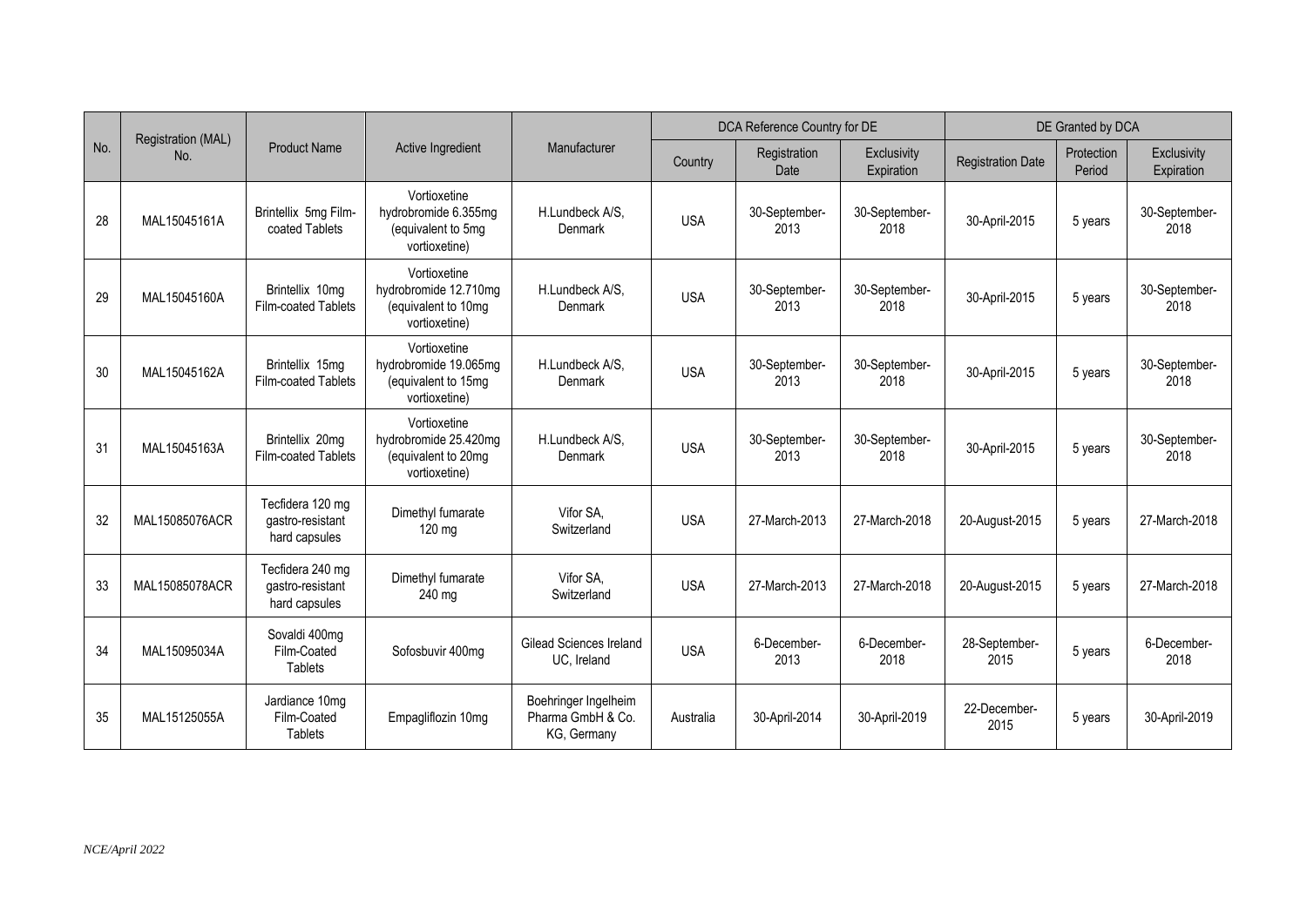|     | Registration (MAL) |                                                       |                                                                               |                                                          |            | DCA Reference Country for DE |                           |                          | DE Granted by DCA    |                           |
|-----|--------------------|-------------------------------------------------------|-------------------------------------------------------------------------------|----------------------------------------------------------|------------|------------------------------|---------------------------|--------------------------|----------------------|---------------------------|
| No. | No.                | <b>Product Name</b>                                   | Active Ingredient                                                             | Manufacturer                                             | Country    | Registration<br>Date         | Exclusivity<br>Expiration | <b>Registration Date</b> | Protection<br>Period | Exclusivity<br>Expiration |
| 28  | MAL15045161A       | Brintellix 5mg Film-<br>coated Tablets                | Vortioxetine<br>hydrobromide 6.355mg<br>(equivalent to 5mg<br>vortioxetine)   | H.Lundbeck A/S.<br>Denmark                               | <b>USA</b> | 30-September-<br>2013        | 30-September-<br>2018     | 30-April-2015            | 5 years              | 30-September-<br>2018     |
| 29  | MAL15045160A       | Brintellix 10mg<br><b>Film-coated Tablets</b>         | Vortioxetine<br>hydrobromide 12.710mg<br>(equivalent to 10mg<br>vortioxetine) | H.Lundbeck A/S.<br>Denmark                               | <b>USA</b> | 30-September-<br>2013        | 30-September-<br>2018     | 30-April-2015            | 5 years              | 30-September-<br>2018     |
| 30  | MAL15045162A       | Brintellix 15mg<br>Film-coated Tablets                | Vortioxetine<br>hydrobromide 19.065mg<br>(equivalent to 15mg<br>vortioxetine) | H.Lundbeck A/S.<br>Denmark                               | <b>USA</b> | 30-September-<br>2013        | 30-September-<br>2018     | 30-April-2015            | 5 years              | 30-September-<br>2018     |
| 31  | MAL15045163A       | Brintellix 20mg<br><b>Film-coated Tablets</b>         | Vortioxetine<br>hydrobromide 25.420mg<br>(equivalent to 20mg<br>vortioxetine) | H.Lundbeck A/S.<br>Denmark                               | <b>USA</b> | 30-September-<br>2013        | 30-September-<br>2018     | 30-April-2015            | 5 years              | 30-September-<br>2018     |
| 32  | MAL15085076ACR     | Tecfidera 120 mg<br>gastro-resistant<br>hard capsules | Dimethyl fumarate<br>120 mg                                                   | Vifor SA,<br>Switzerland                                 | <b>USA</b> | 27-March-2013                | 27-March-2018             | 20-August-2015           | 5 years              | 27-March-2018             |
| 33  | MAL15085078ACR     | Tecfidera 240 mg<br>gastro-resistant<br>hard capsules | Dimethyl fumarate<br>240 mg                                                   | Vifor SA.<br>Switzerland                                 | <b>USA</b> | 27-March-2013                | 27-March-2018             | 20-August-2015           | 5 years              | 27-March-2018             |
| 34  | MAL15095034A       | Sovaldi 400mg<br>Film-Coated<br><b>Tablets</b>        | Sofosbuvir 400mg                                                              | <b>Gilead Sciences Ireland</b><br>UC. Ireland            | <b>USA</b> | 6-December-<br>2013          | 6-December-<br>2018       | 28-September-<br>2015    | 5 years              | 6-December-<br>2018       |
| 35  | MAL15125055A       | Jardiance 10mg<br>Film-Coated<br><b>Tablets</b>       | Empagliflozin 10mg                                                            | Boehringer Ingelheim<br>Pharma GmbH & Co.<br>KG, Germany | Australia  | 30-April-2014                | 30-April-2019             | 22-December-<br>2015     | 5 years              | 30-April-2019             |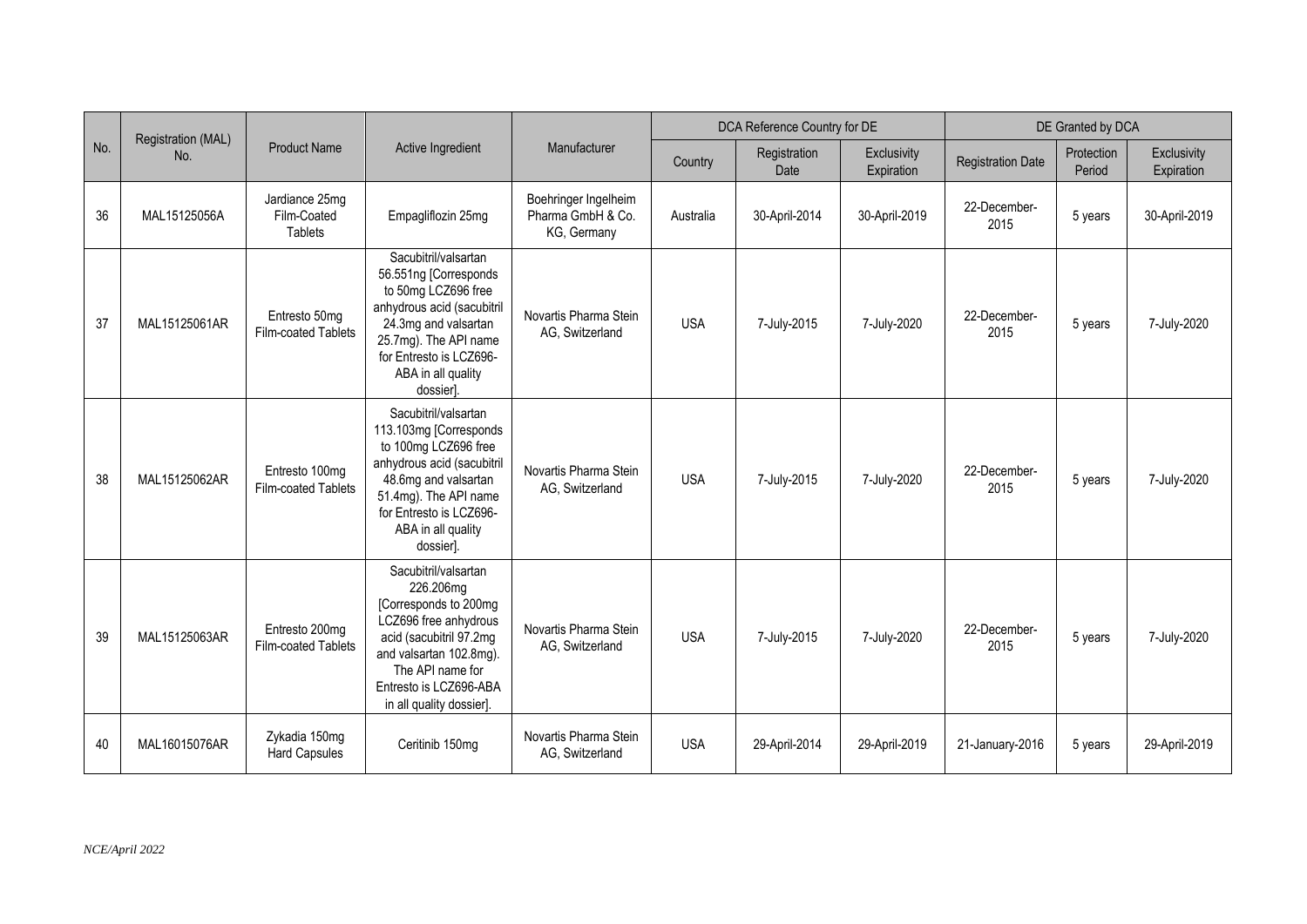|     | Registration (MAL) |                                          |                                                                                                                                                                                                                     |                                                          |            | DCA Reference Country for DE |                           |                          | DE Granted by DCA    |                           |
|-----|--------------------|------------------------------------------|---------------------------------------------------------------------------------------------------------------------------------------------------------------------------------------------------------------------|----------------------------------------------------------|------------|------------------------------|---------------------------|--------------------------|----------------------|---------------------------|
| No. | No.                | <b>Product Name</b>                      | Active Ingredient                                                                                                                                                                                                   | Manufacturer                                             | Country    | Registration<br>Date         | Exclusivity<br>Expiration | <b>Registration Date</b> | Protection<br>Period | Exclusivity<br>Expiration |
| 36  | MAL15125056A       | Jardiance 25mg<br>Film-Coated<br>Tablets | Empagliflozin 25mg                                                                                                                                                                                                  | Boehringer Ingelheim<br>Pharma GmbH & Co.<br>KG, Germany | Australia  | 30-April-2014                | 30-April-2019             | 22-December-<br>2015     | 5 years              | 30-April-2019             |
| 37  | MAL15125061AR      | Entresto 50mg<br>Film-coated Tablets     | Sacubitril/valsartan<br>56.551ng [Corresponds<br>to 50mg LCZ696 free<br>anhydrous acid (sacubitril<br>24.3mg and valsartan<br>25.7mg). The API name<br>for Entresto is LCZ696-<br>ABA in all quality<br>dossier].   | Novartis Pharma Stein<br>AG, Switzerland                 | <b>USA</b> | 7-July-2015                  | 7-July-2020               | 22-December-<br>2015     | 5 years              | 7-July-2020               |
| 38  | MAL15125062AR      | Entresto 100mg<br>Film-coated Tablets    | Sacubitril/valsartan<br>113.103mg [Corresponds<br>to 100mg LCZ696 free<br>anhydrous acid (sacubitril<br>48.6mg and valsartan<br>51.4mg). The API name<br>for Entresto is LCZ696-<br>ABA in all quality<br>dossier]. | Novartis Pharma Stein<br>AG, Switzerland                 | <b>USA</b> | 7-July-2015                  | 7-July-2020               | 22-December-<br>2015     | 5 years              | 7-July-2020               |
| 39  | MAL15125063AR      | Entresto 200mg<br>Film-coated Tablets    | Sacubitril/valsartan<br>226.206mg<br>[Corresponds to 200mg<br>LCZ696 free anhydrous<br>acid (sacubitril 97.2mg<br>and valsartan 102.8mg).<br>The API name for<br>Entresto is LCZ696-ABA<br>in all quality dossier]. | Novartis Pharma Stein<br>AG, Switzerland                 | <b>USA</b> | 7-July-2015                  | 7-July-2020               | 22-December-<br>2015     | 5 years              | 7-July-2020               |
| 40  | MAL16015076AR      | Zykadia 150mg<br><b>Hard Capsules</b>    | Ceritinib 150mg                                                                                                                                                                                                     | Novartis Pharma Stein<br>AG, Switzerland                 | <b>USA</b> | 29-April-2014                | 29-April-2019             | 21-January-2016          | 5 years              | 29-April-2019             |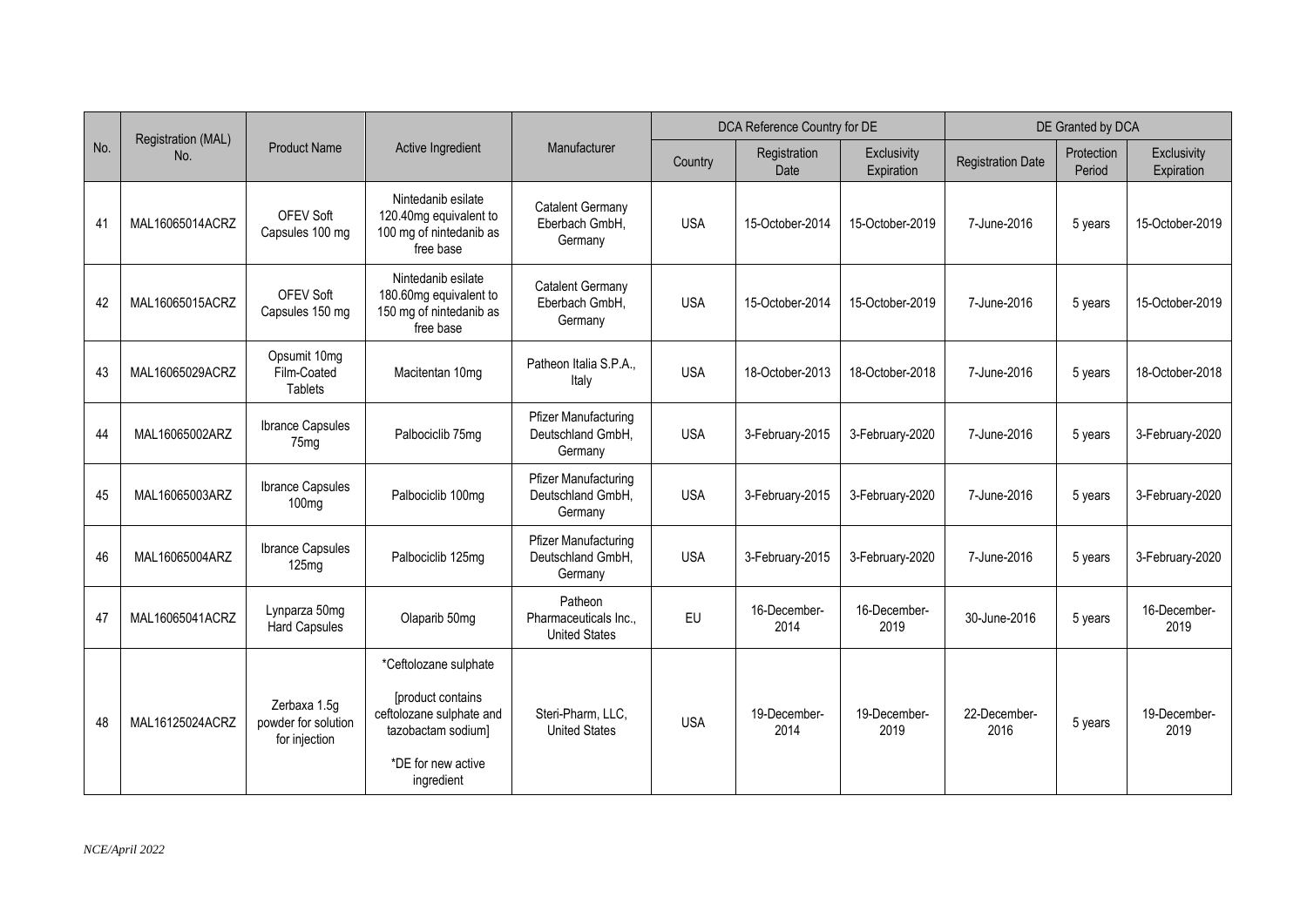|     | Registration (MAL) |                                                      |                                                                                           |                                                             |            | DCA Reference Country for DE |                           |                          | DE Granted by DCA    |                           |
|-----|--------------------|------------------------------------------------------|-------------------------------------------------------------------------------------------|-------------------------------------------------------------|------------|------------------------------|---------------------------|--------------------------|----------------------|---------------------------|
| No. | No.                | <b>Product Name</b>                                  | Active Ingredient                                                                         | Manufacturer                                                | Country    | Registration<br>Date         | Exclusivity<br>Expiration | <b>Registration Date</b> | Protection<br>Period | Exclusivity<br>Expiration |
| 41  | MAL16065014ACRZ    | OFEV Soft<br>Capsules 100 mg                         | Nintedanib esilate<br>120.40mg equivalent to<br>100 mg of nintedanib as<br>free base      | <b>Catalent Germany</b><br>Eberbach GmbH,<br>Germany        | <b>USA</b> | 15-October-2014              | 15-October-2019           | 7-June-2016              | 5 years              | 15-October-2019           |
| 42  | MAL16065015ACRZ    | OFEV Soft<br>Capsules 150 mg                         | Nintedanib esilate<br>180.60mg equivalent to<br>150 mg of nintedanib as<br>free base      | <b>Catalent Germany</b><br>Eberbach GmbH,<br>Germany        | <b>USA</b> | 15-October-2014              | 15-October-2019           | 7-June-2016              | 5 years              | 15-October-2019           |
| 43  | MAL16065029ACRZ    | Opsumit 10mg<br>Film-Coated<br><b>Tablets</b>        | Macitentan 10mg                                                                           | Patheon Italia S.P.A.,<br>Italy                             | <b>USA</b> | 18-October-2013              | 18-October-2018           | 7-June-2016              | 5 years              | 18-October-2018           |
| 44  | MAL16065002ARZ     | <b>Ibrance Capsules</b><br>75 <sub>mg</sub>          | Palbociclib 75mg                                                                          | <b>Pfizer Manufacturing</b><br>Deutschland GmbH,<br>Germany | <b>USA</b> | 3-February-2015              | 3-February-2020           | 7-June-2016              | 5 years              | 3-February-2020           |
| 45  | MAL16065003ARZ     | <b>Ibrance Capsules</b><br>100 <sub>mg</sub>         | Palbociclib 100mg                                                                         | <b>Pfizer Manufacturing</b><br>Deutschland GmbH,<br>Germany | <b>USA</b> | 3-February-2015              | 3-February-2020           | 7-June-2016              | 5 years              | 3-February-2020           |
| 46  | MAL16065004ARZ     | <b>Ibrance Capsules</b><br>125mg                     | Palbociclib 125mg                                                                         | <b>Pfizer Manufacturing</b><br>Deutschland GmbH,<br>Germany | <b>USA</b> | 3-February-2015              | 3-February-2020           | 7-June-2016              | 5 years              | 3-February-2020           |
| 47  | MAL16065041ACRZ    | Lynparza 50mg<br><b>Hard Capsules</b>                | Olaparib 50mg                                                                             | Patheon<br>Pharmaceuticals Inc.,<br><b>United States</b>    | EU         | 16-December-<br>2014         | 16-December-<br>2019      | 30-June-2016             | 5 years              | 16-December-<br>2019      |
|     |                    |                                                      | *Ceftolozane sulphate                                                                     |                                                             |            |                              |                           |                          |                      |                           |
| 48  | MAL16125024ACRZ    | Zerbaxa 1.5g<br>powder for solution<br>for injection | [product contains<br>ceftolozane sulphate and<br>tazobactam sodium]<br>*DE for new active | Steri-Pharm, LLC,<br><b>United States</b>                   | <b>USA</b> | 19-December-<br>2014         | 19-December-<br>2019      | 22-December-<br>2016     | 5 years              | 19-December-<br>2019      |
|     |                    |                                                      | ingredient                                                                                |                                                             |            |                              |                           |                          |                      |                           |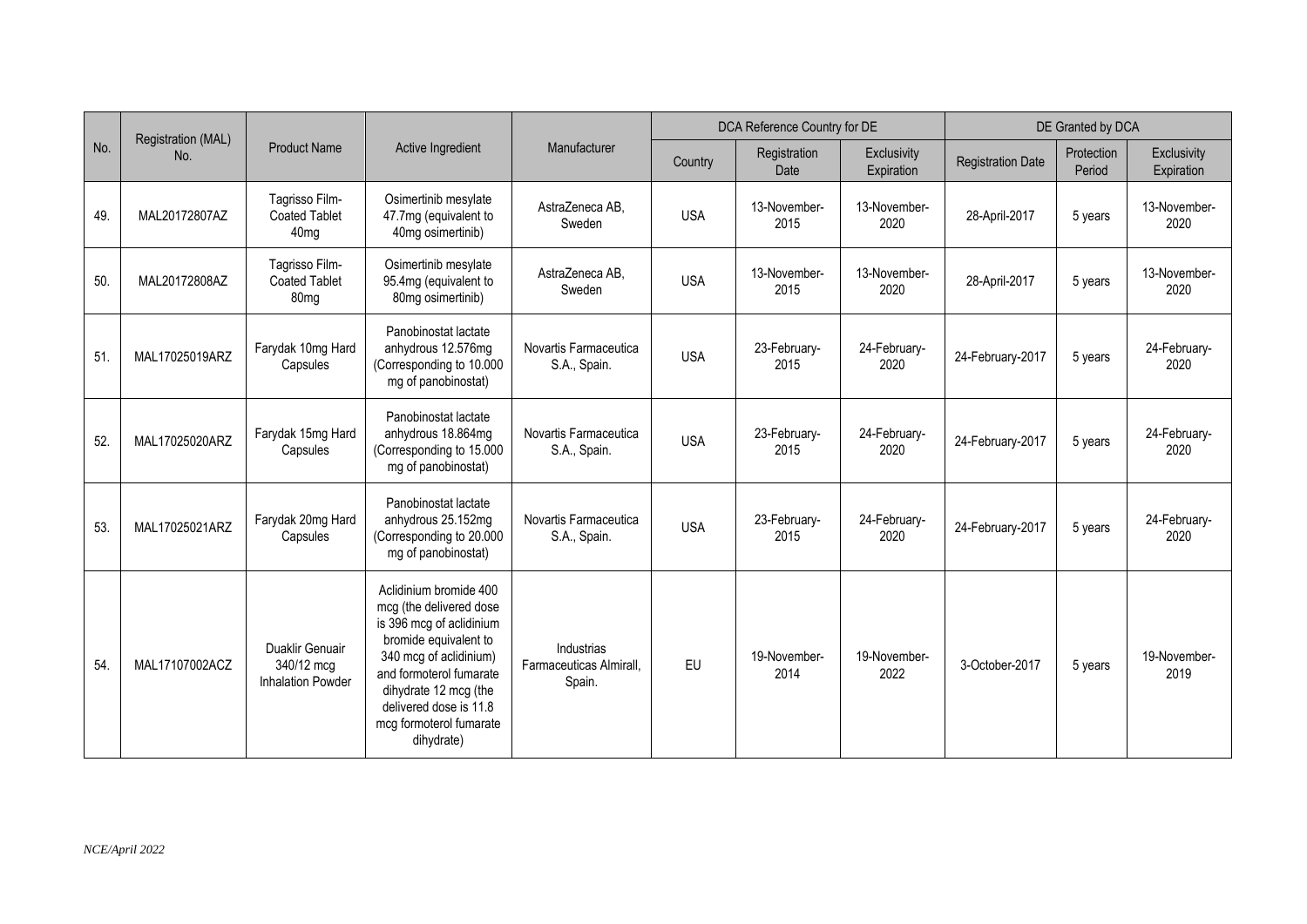|     | Registration (MAL) |                                                            |                                                                                                                                                                                                                                                         |                                                 |            | DCA Reference Country for DE |                           |                          | DE Granted by DCA    |                           |
|-----|--------------------|------------------------------------------------------------|---------------------------------------------------------------------------------------------------------------------------------------------------------------------------------------------------------------------------------------------------------|-------------------------------------------------|------------|------------------------------|---------------------------|--------------------------|----------------------|---------------------------|
| No. | No.                | <b>Product Name</b>                                        | Active Ingredient                                                                                                                                                                                                                                       | Manufacturer                                    | Country    | Registration<br>Date         | Exclusivity<br>Expiration | <b>Registration Date</b> | Protection<br>Period | Exclusivity<br>Expiration |
| 49. | MAL20172807AZ      | Tagrisso Film-<br><b>Coated Tablet</b><br>40 <sub>mg</sub> | Osimertinib mesylate<br>47.7mg (equivalent to<br>40mg osimertinib)                                                                                                                                                                                      | AstraZeneca AB.<br>Sweden                       | <b>USA</b> | 13-November-<br>2015         | 13-November-<br>2020      | 28-April-2017            | 5 years              | 13-November-<br>2020      |
| 50. | MAL20172808AZ      | Tagrisso Film-<br><b>Coated Tablet</b><br>80 <sub>mg</sub> | Osimertinib mesylate<br>95.4mg (equivalent to<br>80mg osimertinib)                                                                                                                                                                                      | AstraZeneca AB.<br>Sweden                       | <b>USA</b> | 13-November-<br>2015         | 13-November-<br>2020      | 28-April-2017            | 5 years              | 13-November-<br>2020      |
| 51  | MAL17025019ARZ     | Farydak 10mg Hard<br>Capsules                              | Panobinostat lactate<br>anhydrous 12.576mg<br>(Corresponding to 10.000<br>mg of panobinostat)                                                                                                                                                           | Novartis Farmaceutica<br>S.A., Spain.           | <b>USA</b> | 23-February-<br>2015         | 24-February-<br>2020      | 24-February-2017         | 5 years              | 24-February-<br>2020      |
| 52. | MAL17025020ARZ     | Farydak 15mg Hard<br>Capsules                              | Panobinostat lactate<br>anhydrous 18.864mg<br>(Corresponding to 15.000<br>mg of panobinostat)                                                                                                                                                           | Novartis Farmaceutica<br>S.A., Spain.           | <b>USA</b> | 23-February-<br>2015         | 24-February-<br>2020      | 24-February-2017         | 5 years              | 24-February-<br>2020      |
| 53. | MAL17025021ARZ     | Farydak 20mg Hard<br>Capsules                              | Panobinostat lactate<br>anhydrous 25.152mg<br>(Corresponding to 20.000<br>mg of panobinostat)                                                                                                                                                           | Novartis Farmaceutica<br>S.A., Spain.           | <b>USA</b> | 23-February-<br>2015         | 24-February-<br>2020      | 24-February-2017         | 5 years              | 24-February-<br>2020      |
| 54. | MAL17107002ACZ     | Duaklir Genuair<br>340/12 mcg<br><b>Inhalation Powder</b>  | Aclidinium bromide 400<br>mcg (the delivered dose<br>is 396 mcg of aclidinium<br>bromide equivalent to<br>340 mcg of aclidinium)<br>and formoterol fumarate<br>dihydrate 12 mcg (the<br>delivered dose is 11.8<br>mcg formoterol fumarate<br>dihydrate) | Industrias<br>Farmaceuticas Almirall.<br>Spain. | EU         | 19-November-<br>2014         | 19-November-<br>2022      | 3-October-2017           | 5 years              | 19-November-<br>2019      |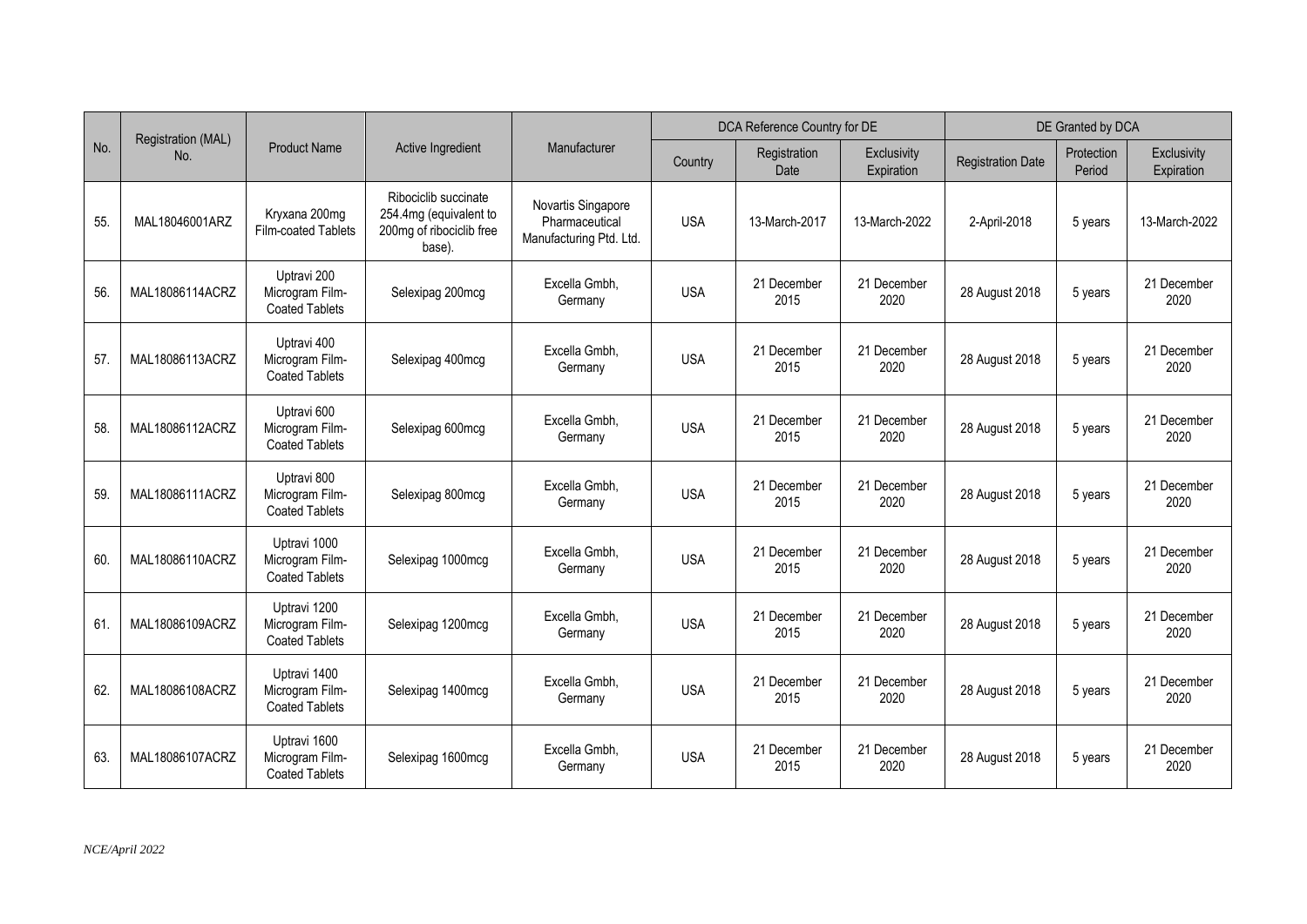|     | Registration (MAL) |                                                          |                                                                                      |                                                                 |            | DCA Reference Country for DE |                           |                          | DE Granted by DCA    |                           |
|-----|--------------------|----------------------------------------------------------|--------------------------------------------------------------------------------------|-----------------------------------------------------------------|------------|------------------------------|---------------------------|--------------------------|----------------------|---------------------------|
| No. | No.                | <b>Product Name</b>                                      | Active Ingredient                                                                    | Manufacturer                                                    | Country    | Registration<br>Date         | Exclusivity<br>Expiration | <b>Registration Date</b> | Protection<br>Period | Exclusivity<br>Expiration |
| 55. | MAL18046001ARZ     | Kryxana 200mg<br>Film-coated Tablets                     | Ribociclib succinate<br>254.4mg (equivalent to<br>200mg of ribociclib free<br>base). | Novartis Singapore<br>Pharmaceutical<br>Manufacturing Ptd. Ltd. | <b>USA</b> | 13-March-2017                | 13-March-2022             | 2-April-2018             | 5 years              | 13-March-2022             |
| 56. | MAL18086114ACRZ    | Uptravi 200<br>Microgram Film-<br><b>Coated Tablets</b>  | Selexipag 200mcg                                                                     | Excella Gmbh.<br>Germany                                        | <b>USA</b> | 21 December<br>2015          | 21 December<br>2020       | 28 August 2018           | 5 years              | 21 December<br>2020       |
| 57. | MAL18086113ACRZ    | Uptravi 400<br>Microgram Film-<br><b>Coated Tablets</b>  | Selexipag 400mcg                                                                     | Excella Gmbh,<br>Germany                                        | <b>USA</b> | 21 December<br>2015          | 21 December<br>2020       | 28 August 2018           | 5 years              | 21 December<br>2020       |
| 58. | MAL18086112ACRZ    | Uptravi 600<br>Microgram Film-<br><b>Coated Tablets</b>  | Selexipag 600mcg                                                                     | Excella Gmbh,<br>Germany                                        | <b>USA</b> | 21 December<br>2015          | 21 December<br>2020       | 28 August 2018           | 5 years              | 21 December<br>2020       |
| 59. | MAL18086111ACRZ    | Uptravi 800<br>Microgram Film-<br><b>Coated Tablets</b>  | Selexipag 800mcg                                                                     | Excella Gmbh,<br>Germany                                        | <b>USA</b> | 21 December<br>2015          | 21 December<br>2020       | 28 August 2018           | 5 years              | 21 December<br>2020       |
| 60. | MAL18086110ACRZ    | Uptravi 1000<br>Microgram Film-<br><b>Coated Tablets</b> | Selexipag 1000mcg                                                                    | Excella Gmbh,<br>Germany                                        | <b>USA</b> | 21 December<br>2015          | 21 December<br>2020       | 28 August 2018           | 5 years              | 21 December<br>2020       |
| 61. | MAL18086109ACRZ    | Uptravi 1200<br>Microgram Film-<br><b>Coated Tablets</b> | Selexipag 1200mcg                                                                    | Excella Gmbh,<br>Germany                                        | <b>USA</b> | 21 December<br>2015          | 21 December<br>2020       | 28 August 2018           | 5 years              | 21 December<br>2020       |
| 62. | MAL18086108ACRZ    | Uptravi 1400<br>Microgram Film-<br><b>Coated Tablets</b> | Selexipag 1400mcg                                                                    | Excella Gmbh.<br>Germany                                        | <b>USA</b> | 21 December<br>2015          | 21 December<br>2020       | 28 August 2018           | 5 years              | 21 December<br>2020       |
| 63. | MAL18086107ACRZ    | Uptravi 1600<br>Microgram Film-<br><b>Coated Tablets</b> | Selexipag 1600mcg                                                                    | Excella Gmbh,<br>Germany                                        | <b>USA</b> | 21 December<br>2015          | 21 December<br>2020       | 28 August 2018           | 5 years              | 21 December<br>2020       |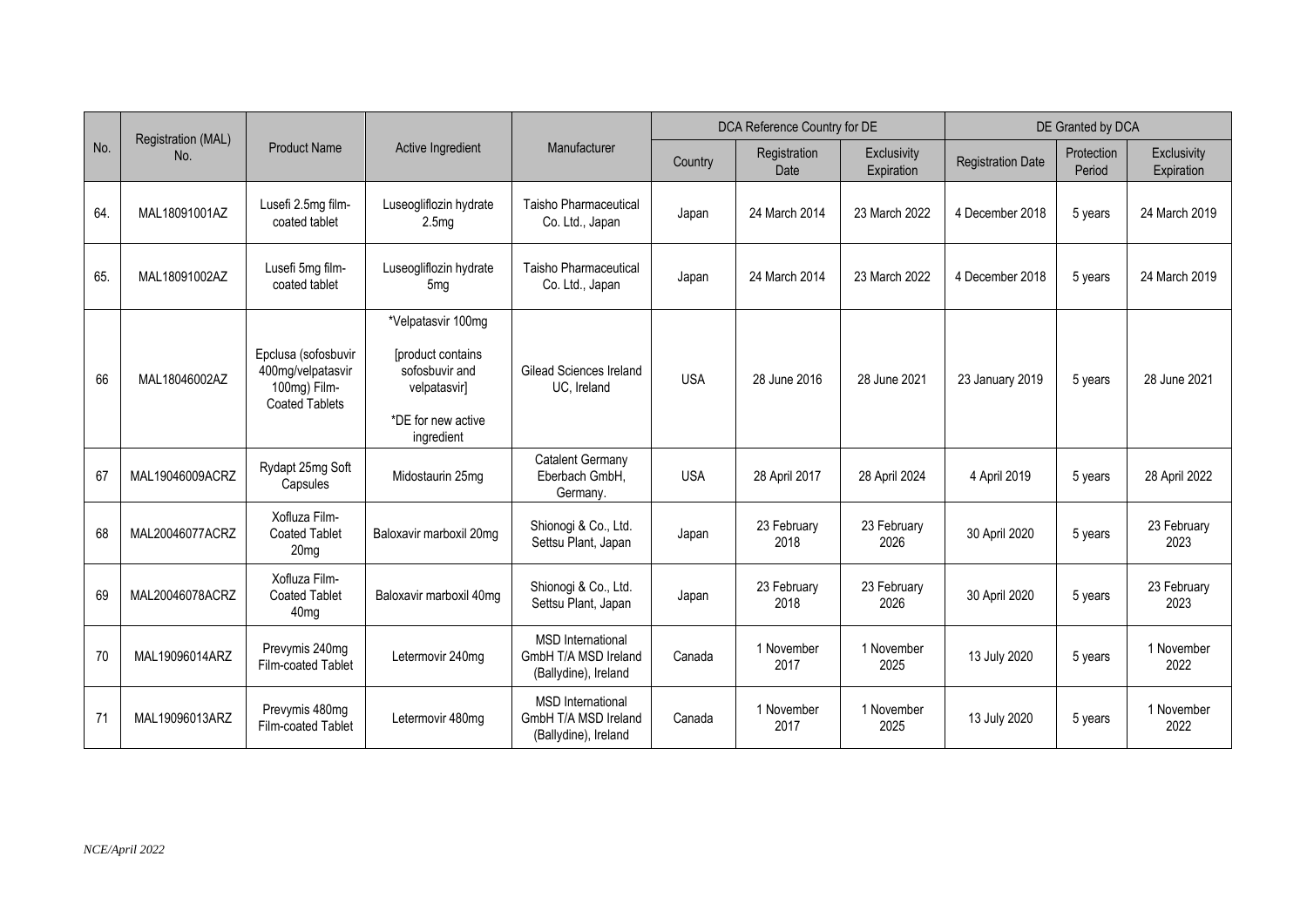|     | Registration (MAL) |                                                                                   |                                                                                                               |                                                                          |            | DCA Reference Country for DE |                           |                          | DE Granted by DCA    |                           |
|-----|--------------------|-----------------------------------------------------------------------------------|---------------------------------------------------------------------------------------------------------------|--------------------------------------------------------------------------|------------|------------------------------|---------------------------|--------------------------|----------------------|---------------------------|
| No. | No.                | <b>Product Name</b>                                                               | Active Ingredient                                                                                             | Manufacturer                                                             | Country    | Registration<br>Date         | Exclusivity<br>Expiration | <b>Registration Date</b> | Protection<br>Period | Exclusivity<br>Expiration |
| 64. | MAL18091001AZ      | Lusefi 2.5mg film-<br>coated tablet                                               | Luseogliflozin hydrate<br>2.5 <sub>mq</sub>                                                                   | Taisho Pharmaceutical<br>Co. Ltd., Japan                                 | Japan      | 24 March 2014                | 23 March 2022             | 4 December 2018          | 5 years              | 24 March 2019             |
| 65. | MAL18091002AZ      | Lusefi 5mg film-<br>coated tablet                                                 | Luseogliflozin hydrate<br>5 <sub>mg</sub>                                                                     | <b>Taisho Pharmaceutical</b><br>Co. Ltd., Japan                          | Japan      | 24 March 2014                | 23 March 2022             | 4 December 2018          | 5 years              | 24 March 2019             |
| 66  | MAL18046002AZ      | Epclusa (sofosbuvir<br>400mg/velpatasvir<br>100mg) Film-<br><b>Coated Tablets</b> | *Velpatasvir 100mg<br>[product contains<br>sofosbuvir and<br>velpatasvirl<br>*DE for new active<br>ingredient | <b>Gilead Sciences Ireland</b><br>UC. Ireland                            | <b>USA</b> | 28 June 2016                 | 28 June 2021              | 23 January 2019          | 5 years              | 28 June 2021              |
| 67  | MAL19046009ACRZ    | Rydapt 25mg Soft<br>Capsules                                                      | Midostaurin 25mg                                                                                              | <b>Catalent Germany</b><br>Eberbach GmbH,<br>Germany.                    | <b>USA</b> | 28 April 2017                | 28 April 2024             | 4 April 2019             | 5 years              | 28 April 2022             |
| 68  | MAL20046077ACRZ    | Xofluza Film-<br><b>Coated Tablet</b><br>20 <sub>mg</sub>                         | Baloxavir marboxil 20mg                                                                                       | Shionogi & Co., Ltd.<br>Settsu Plant, Japan                              | Japan      | 23 February<br>2018          | 23 February<br>2026       | 30 April 2020            | 5 years              | 23 February<br>2023       |
| 69  | MAL20046078ACRZ    | Xofluza Film-<br><b>Coated Tablet</b><br>40 <sub>mq</sub>                         | Baloxavir marboxil 40mg                                                                                       | Shionogi & Co., Ltd.<br>Settsu Plant, Japan                              | Japan      | 23 February<br>2018          | 23 February<br>2026       | 30 April 2020            | 5 years              | 23 February<br>2023       |
| 70  | MAL19096014ARZ     | Prevymis 240mg<br>Film-coated Tablet                                              | Letermovir 240mg                                                                                              | <b>MSD</b> International<br>GmbH T/A MSD Ireland<br>(Ballydine), Ireland | Canada     | 1 November<br>2017           | 1 November<br>2025        | 13 July 2020             | 5 years              | 1 November<br>2022        |
| 71  | MAL19096013ARZ     | Prevymis 480mg<br>Film-coated Tablet                                              | Letermovir 480mg                                                                                              | <b>MSD</b> International<br>GmbH T/A MSD Ireland<br>(Ballydine), Ireland | Canada     | 1 November<br>2017           | 1 November<br>2025        | 13 July 2020             | 5 years              | 1 November<br>2022        |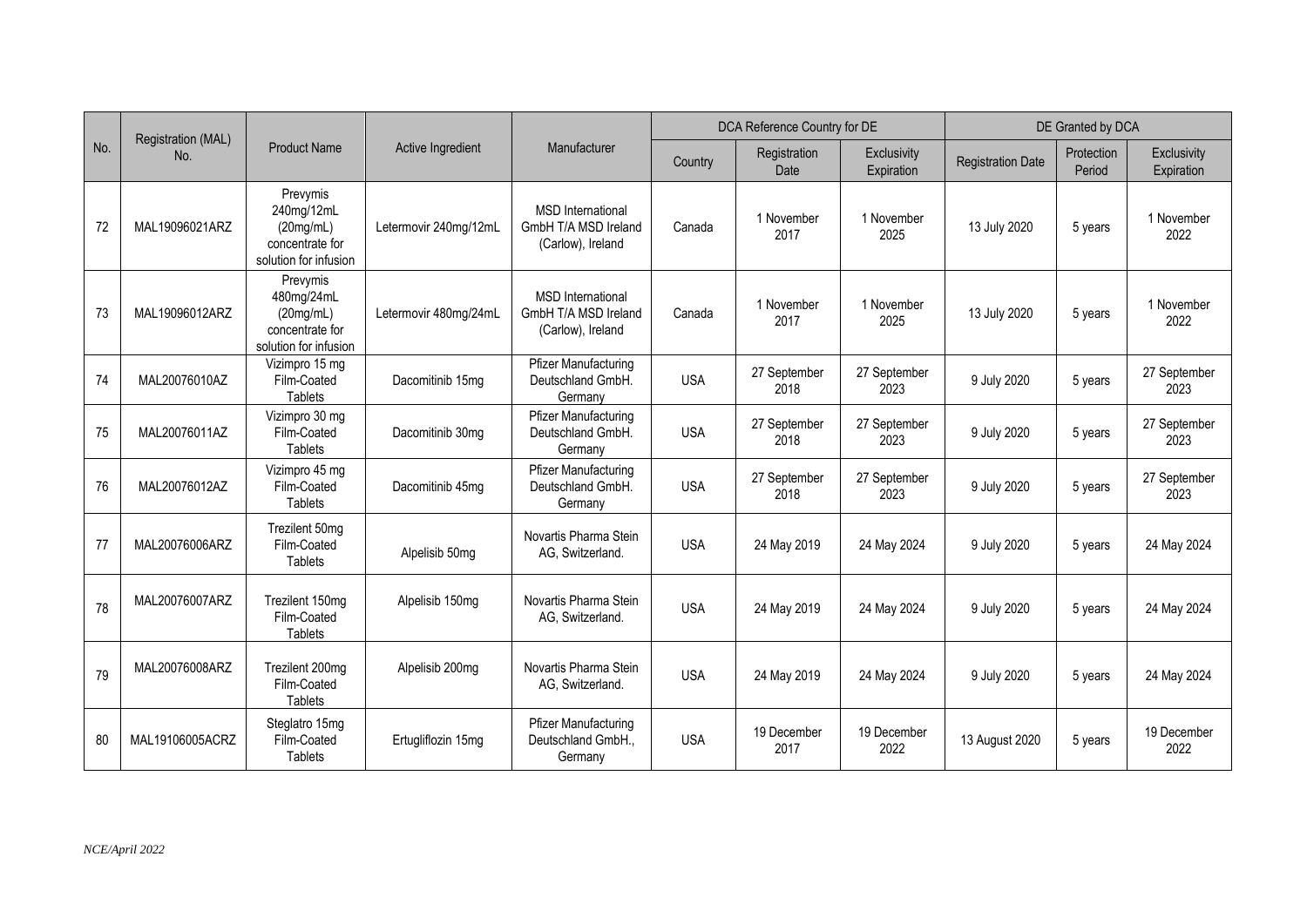|     | Registration (MAL) |                                                                                 |                       |                                                                       |            | DCA Reference Country for DE |                           |                          | DE Granted by DCA    |                           |
|-----|--------------------|---------------------------------------------------------------------------------|-----------------------|-----------------------------------------------------------------------|------------|------------------------------|---------------------------|--------------------------|----------------------|---------------------------|
| No. | No.                | <b>Product Name</b>                                                             | Active Ingredient     | Manufacturer                                                          | Country    | Registration<br>Date         | Exclusivity<br>Expiration | <b>Registration Date</b> | Protection<br>Period | Exclusivity<br>Expiration |
| 72  | MAL19096021ARZ     | Prevymis<br>240mg/12mL<br>(20mg/mL)<br>concentrate for<br>solution for infusion | Letermovir 240mg/12mL | <b>MSD</b> International<br>GmbH T/A MSD Ireland<br>(Carlow), Ireland | Canada     | 1 November<br>2017           | 1 November<br>2025        | 13 July 2020             | 5 years              | 1 November<br>2022        |
| 73  | MAL19096012ARZ     | Prevymis<br>480mg/24mL<br>(20mg/mL)<br>concentrate for<br>solution for infusion | Letermovir 480mg/24mL | <b>MSD</b> International<br>GmbH T/A MSD Ireland<br>(Carlow), Ireland | Canada     | 1 November<br>2017           | 1 November<br>2025        | 13 July 2020             | 5 years              | 1 November<br>2022        |
| 74  | MAL20076010AZ      | Vizimpro 15 mg<br>Film-Coated<br><b>Tablets</b>                                 | Dacomitinib 15mg      | <b>Pfizer Manufacturing</b><br>Deutschland GmbH.<br>Germany           | <b>USA</b> | 27 September<br>2018         | 27 September<br>2023      | 9 July 2020              | 5 years              | 27 September<br>2023      |
| 75  | MAL20076011AZ      | Vizimpro 30 mg<br>Film-Coated<br><b>Tablets</b>                                 | Dacomitinib 30mg      | Pfizer Manufacturing<br>Deutschland GmbH.<br>Germany                  | <b>USA</b> | 27 September<br>2018         | 27 September<br>2023      | 9 July 2020              | 5 years              | 27 September<br>2023      |
| 76  | MAL20076012AZ      | Vizimpro 45 mg<br>Film-Coated<br><b>Tablets</b>                                 | Dacomitinib 45mg      | Pfizer Manufacturing<br>Deutschland GmbH.<br>Germany                  | <b>USA</b> | 27 September<br>2018         | 27 September<br>2023      | 9 July 2020              | 5 years              | 27 September<br>2023      |
| 77  | MAL20076006ARZ     | Trezilent 50mg<br>Film-Coated<br><b>Tablets</b>                                 | Alpelisib 50mg        | Novartis Pharma Stein<br>AG, Switzerland.                             | <b>USA</b> | 24 May 2019                  | 24 May 2024               | 9 July 2020              | 5 years              | 24 May 2024               |
| 78  | MAL20076007ARZ     | Trezilent 150mg<br>Film-Coated<br><b>Tablets</b>                                | Alpelisib 150mg       | Novartis Pharma Stein<br>AG, Switzerland.                             | <b>USA</b> | 24 May 2019                  | 24 May 2024               | 9 July 2020              | 5 years              | 24 May 2024               |
| 79  | MAL20076008ARZ     | Trezilent 200mg<br>Film-Coated<br>Tablets                                       | Alpelisib 200mg       | Novartis Pharma Stein<br>AG. Switzerland.                             | <b>USA</b> | 24 May 2019                  | 24 May 2024               | 9 July 2020              | 5 years              | 24 May 2024               |
| 80  | MAL19106005ACRZ    | Steglatro 15mg<br>Film-Coated<br><b>Tablets</b>                                 | Ertugliflozin 15mg    | <b>Pfizer Manufacturing</b><br>Deutschland GmbH.,<br>Germany          | <b>USA</b> | 19 December<br>2017          | 19 December<br>2022       | 13 August 2020           | 5 years              | 19 December<br>2022       |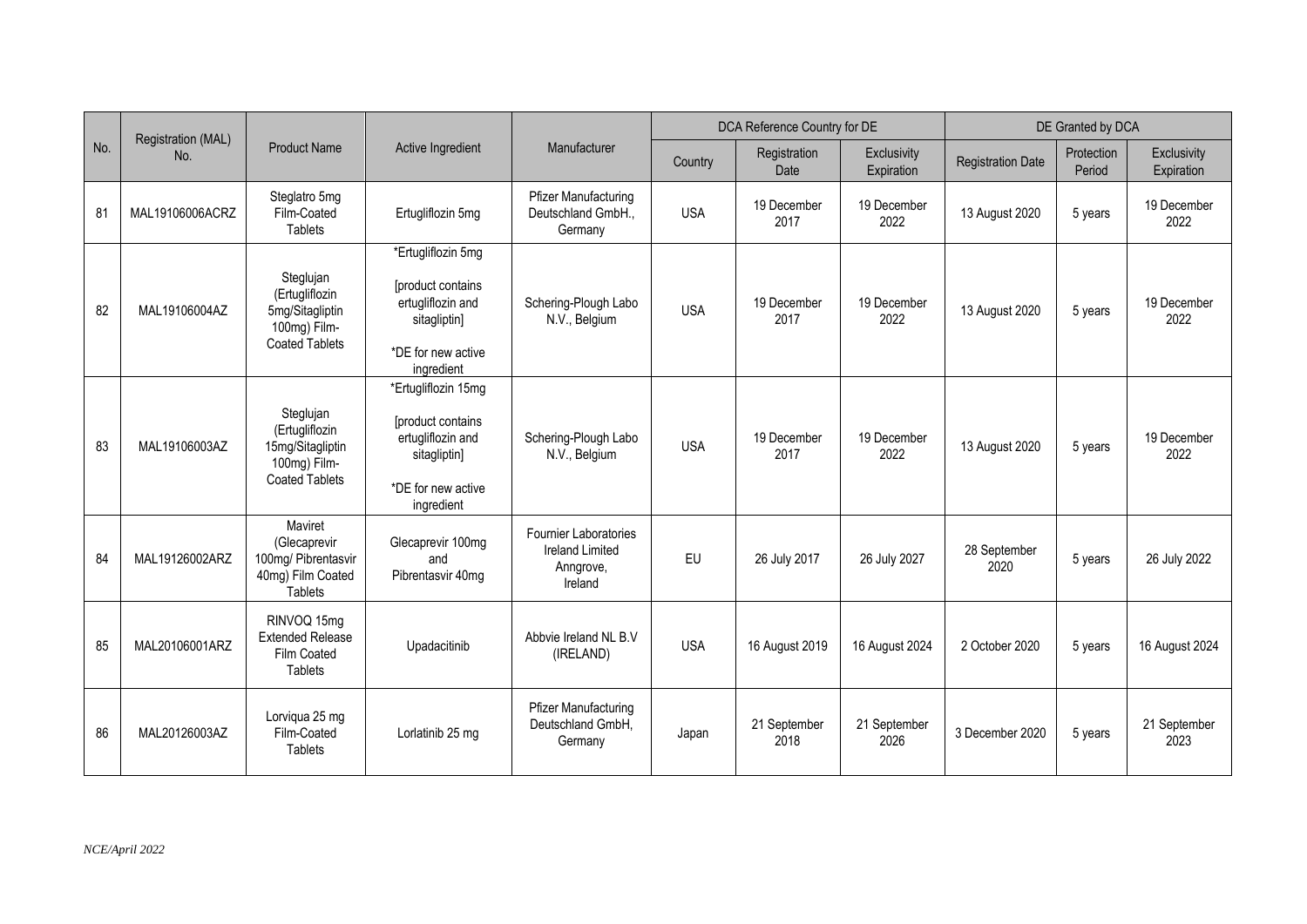|     | Registration (MAL) |                                                                                          |                                                                                                                   |                                                                         |            | DCA Reference Country for DE |                           |                          | DE Granted by DCA    |                           |
|-----|--------------------|------------------------------------------------------------------------------------------|-------------------------------------------------------------------------------------------------------------------|-------------------------------------------------------------------------|------------|------------------------------|---------------------------|--------------------------|----------------------|---------------------------|
| No. | No.                | <b>Product Name</b>                                                                      | Active Ingredient                                                                                                 | Manufacturer                                                            | Country    | Registration<br>Date         | Exclusivity<br>Expiration | <b>Registration Date</b> | Protection<br>Period | Exclusivity<br>Expiration |
| 81  | MAL19106006ACRZ    | Steglatro 5mg<br>Film-Coated<br><b>Tablets</b>                                           | Ertugliflozin 5mg                                                                                                 | <b>Pfizer Manufacturing</b><br>Deutschland GmbH.,<br>Germany            | <b>USA</b> | 19 December<br>2017          | 19 December<br>2022       | 13 August 2020           | 5 years              | 19 December<br>2022       |
| 82  | MAL19106004AZ      | Steglujan<br>(Ertugliflozin<br>5mg/Sitagliptin<br>100mg) Film-<br><b>Coated Tablets</b>  | *Ertugliflozin 5mg<br>[product contains<br>ertugliflozin and<br>sitagliptin]<br>*DE for new active<br>ingredient  | Schering-Plough Labo<br>N.V., Belgium                                   | <b>USA</b> | 19 December<br>2017          | 19 December<br>2022       | 13 August 2020           | 5 years              | 19 December<br>2022       |
| 83  | MAL19106003AZ      | Steglujan<br>(Ertugliflozin<br>15mg/Sitagliptin<br>100mg) Film-<br><b>Coated Tablets</b> | *Ertugliflozin 15mg<br>[product contains<br>ertugliflozin and<br>sitagliptin]<br>*DE for new active<br>ingredient | Schering-Plough Labo<br>N.V., Belgium                                   | <b>USA</b> | 19 December<br>2017          | 19 December<br>2022       | 13 August 2020           | 5 years              | 19 December<br>2022       |
| 84  | MAL19126002ARZ     | Maviret<br>(Glecaprevir<br>100mg/ Pibrentasvir<br>40mg) Film Coated<br><b>Tablets</b>    | Glecaprevir 100mg<br>and<br>Pibrentasvir 40mg                                                                     | Fournier Laboratories<br><b>Ireland Limited</b><br>Anngrove,<br>Ireland | EU         | 26 July 2017                 | 26 July 2027              | 28 September<br>2020     | 5 years              | 26 July 2022              |
| 85  | MAL20106001ARZ     | RINVOQ 15mg<br><b>Extended Release</b><br>Film Coated<br><b>Tablets</b>                  | Upadacitinib                                                                                                      | Abbyie Ireland NL B.V<br>(IRELAND)                                      | <b>USA</b> | 16 August 2019               | 16 August 2024            | 2 October 2020           | 5 years              | 16 August 2024            |
| 86  | MAL20126003AZ      | Lorviqua 25 mg<br>Film-Coated<br><b>Tablets</b>                                          | Lorlatinib 25 mg                                                                                                  | <b>Pfizer Manufacturing</b><br>Deutschland GmbH,<br>Germany             | Japan      | 21 September<br>2018         | 21 September<br>2026      | 3 December 2020          | 5 years              | 21 September<br>2023      |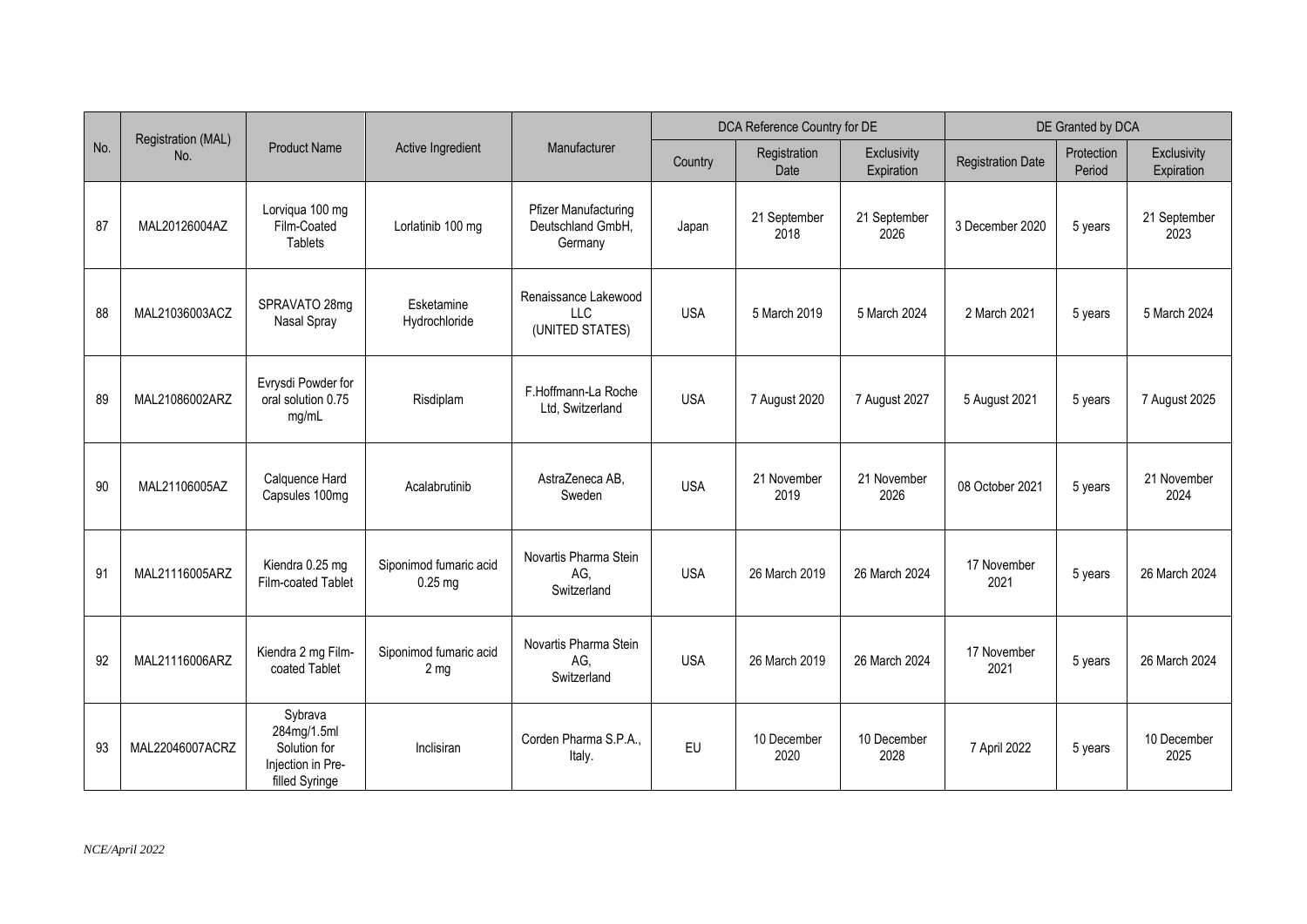|     | Registration (MAL) |                                                                               |                                           |                                                             |            | DCA Reference Country for DE |                           |                          | DE Granted by DCA    |                           |
|-----|--------------------|-------------------------------------------------------------------------------|-------------------------------------------|-------------------------------------------------------------|------------|------------------------------|---------------------------|--------------------------|----------------------|---------------------------|
| No. | No.                | <b>Product Name</b>                                                           | Active Ingredient                         | Manufacturer                                                | Country    | Registration<br>Date         | Exclusivity<br>Expiration | <b>Registration Date</b> | Protection<br>Period | Exclusivity<br>Expiration |
| 87  | MAL20126004AZ      | Lorviqua 100 mg<br>Film-Coated<br>Tablets                                     | Lorlatinib 100 mg                         | <b>Pfizer Manufacturing</b><br>Deutschland GmbH,<br>Germany | Japan      | 21 September<br>2018         | 21 September<br>2026      | 3 December 2020          | 5 years              | 21 September<br>2023      |
| 88  | MAL21036003ACZ     | SPRAVATO 28mg<br>Nasal Spray                                                  | Esketamine<br>Hydrochloride               | Renaissance Lakewood<br>LLC<br>(UNITED STATES)              | <b>USA</b> | 5 March 2019                 | 5 March 2024              | 2 March 2021             | 5 years              | 5 March 2024              |
| 89  | MAL21086002ARZ     | Evrysdi Powder for<br>oral solution 0.75<br>mg/mL                             | Risdiplam                                 | F.Hoffmann-La Roche<br>Ltd, Switzerland                     | <b>USA</b> | 7 August 2020                | 7 August 2027             | 5 August 2021            | 5 years              | 7 August 2025             |
| 90  | MAL21106005AZ      | Calquence Hard<br>Capsules 100mg                                              | Acalabrutinib                             | AstraZeneca AB,<br>Sweden                                   | <b>USA</b> | 21 November<br>2019          | 21 November<br>2026       | 08 October 2021          | 5 years              | 21 November<br>2024       |
| 91  | MAL21116005ARZ     | Kiendra 0.25 mg<br>Film-coated Tablet                                         | Siponimod fumaric acid<br>$0.25$ mg       | Novartis Pharma Stein<br>AG,<br>Switzerland                 | <b>USA</b> | 26 March 2019                | 26 March 2024             | 17 November<br>2021      | 5 years              | 26 March 2024             |
| 92  | MAL21116006ARZ     | Kiendra 2 mg Film-<br>coated Tablet                                           | Siponimod fumaric acid<br>2 <sub>mg</sub> | Novartis Pharma Stein<br>AG.<br>Switzerland                 | <b>USA</b> | 26 March 2019                | 26 March 2024             | 17 November<br>2021      | 5 years              | 26 March 2024             |
| 93  | MAL22046007ACRZ    | Sybrava<br>284mg/1.5ml<br>Solution for<br>Injection in Pre-<br>filled Syringe | Inclisiran                                | Corden Pharma S.P.A.,<br>Italy.                             | EU         | 10 December<br>2020          | 10 December<br>2028       | 7 April 2022             | 5 years              | 10 December<br>2025       |